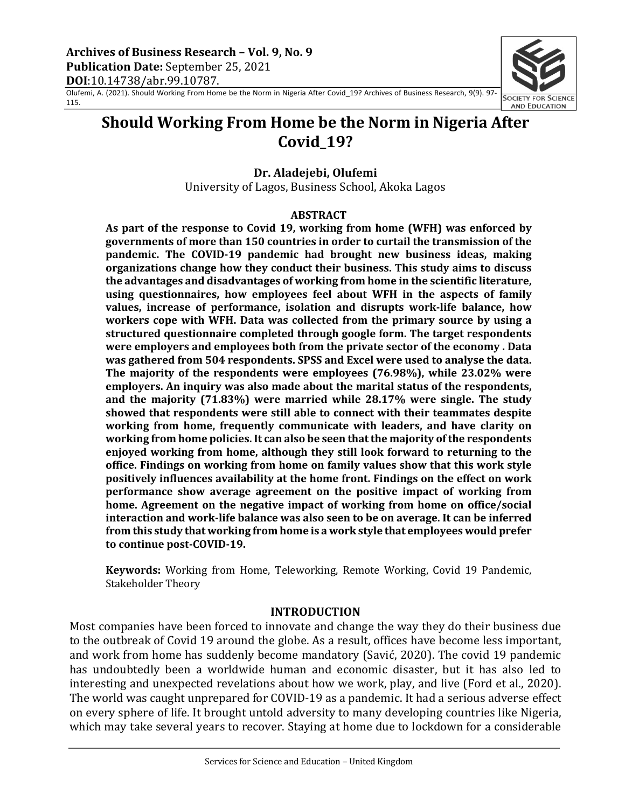Olufemi, A. (2021). Should Working From Home be the Norm in Nigeria After Covid\_19? Archives of Business Research, 9(9). 97- 115.



# **Should Working From Home be the Norm in Nigeria After Covid\_19?**

## **Dr. Aladejebi, Olufemi**

University of Lagos, Business School, Akoka Lagos

### **ABSTRACT**

As part of the response to Covid 19, working from home (WFH) was enforced by governments of more than 150 countries in order to curtail the transmission of the **pandemic.** The COVID-19 pandemic had brought new business ideas, making **organizations change how they conduct their business. This study aims to discuss** the advantages and disadvantages of working from home in the scientific literature, using questionnaires, how employees feel about WFH in the aspects of family **values, increase of performance, isolation and disrupts work-life balance, how** workers cope with WFH. Data was collected from the primary source by using a **structured questionnaire completed through google form. The target respondents were employers and employees both from the private sector of the economy . Data** was gathered from 504 respondents. SPSS and Excel were used to analyse the data. The majority of the respondents were employees (76.98%), while 23.02% were employers. An inquiry was also made about the marital status of the respondents, and the majority (71.83%) were married while 28.17% were single. The study showed that respondents were still able to connect with their teammates despite working from home, frequently communicate with leaders, and have clarity on working from home policies. It can also be seen that the majority of the respondents enjoyed working from home, although they still look forward to returning to the office. Findings on working from home on family values show that this work style **positively influences availability at the home front. Findings on the effect on work performance show average agreement on the positive impact of working from** home. Agreement on the negative impact of working from home on office/social **interaction and work-life balance was also seen to be on average. It can be inferred** from this study that working from home is a work style that employees would prefer to continue post-COVID-19.

**Keywords:** Working from Home, Teleworking, Remote Working, Covid 19 Pandemic, Stakeholder Theory

### **INTRODUCTION**

Most companies have been forced to innovate and change the way they do their business due to the outbreak of Covid 19 around the globe. As a result, offices have become less important, and work from home has suddenly become mandatory (Savić, 2020). The covid 19 pandemic has undoubtedly been a worldwide human and economic disaster, but it has also led to interesting and unexpected revelations about how we work, play, and live (Ford et al., 2020). The world was caught unprepared for COVID-19 as a pandemic. It had a serious adverse effect on every sphere of life. It brought untold adversity to many developing countries like Nigeria, which may take several years to recover. Staying at home due to lockdown for a considerable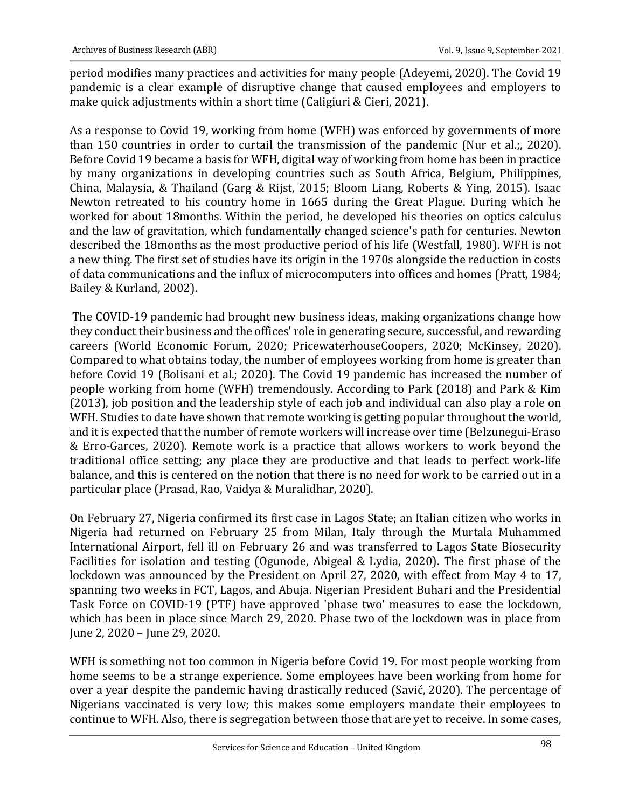period modifies many practices and activities for many people (Adeyemi, 2020). The Covid 19 pandemic is a clear example of disruptive change that caused employees and employers to make quick adjustments within a short time (Caligiuri & Cieri, 2021).

As a response to Covid 19, working from home (WFH) was enforced by governments of more than 150 countries in order to curtail the transmission of the pandemic (Nur et al.;, 2020). Before Covid 19 became a basis for WFH, digital way of working from home has been in practice by many organizations in developing countries such as South Africa, Belgium, Philippines, China, Malaysia, & Thailand (Garg & Rijst, 2015; Bloom Liang, Roberts & Ying, 2015). Isaac Newton retreated to his country home in 1665 during the Great Plague. During which he worked for about 18months. Within the period, he developed his theories on optics calculus and the law of gravitation, which fundamentally changed science's path for centuries. Newton described the 18months as the most productive period of his life (Westfall, 1980). WFH is not a new thing. The first set of studies have its origin in the 1970s alongside the reduction in costs of data communications and the influx of microcomputers into offices and homes (Pratt, 1984; Bailey & Kurland, 2002).

The COVID-19 pandemic had brought new business ideas, making organizations change how they conduct their business and the offices' role in generating secure, successful, and rewarding careers (World Economic Forum, 2020; PricewaterhouseCoopers, 2020; McKinsey, 2020). Compared to what obtains today, the number of employees working from home is greater than before Covid 19 (Bolisani et al.; 2020). The Covid 19 pandemic has increased the number of people working from home (WFH) tremendously. According to Park (2018) and Park & Kim (2013), job position and the leadership style of each job and individual can also play a role on WFH. Studies to date have shown that remote working is getting popular throughout the world, and it is expected that the number of remote workers will increase over time (Belzunegui-Eraso & Erro-Garces, 2020). Remote work is a practice that allows workers to work beyond the traditional office setting; any place they are productive and that leads to perfect work-life balance, and this is centered on the notion that there is no need for work to be carried out in a particular place (Prasad, Rao, Vaidya & Muralidhar, 2020).

On February 27, Nigeria confirmed its first case in Lagos State; an Italian citizen who works in Nigeria had returned on February 25 from Milan, Italy through the Murtala Muhammed International Airport, fell ill on February 26 and was transferred to Lagos State Biosecurity Facilities for isolation and testing (Ogunode, Abigeal & Lydia, 2020). The first phase of the lockdown was announced by the President on April 27, 2020, with effect from May 4 to 17, spanning two weeks in FCT, Lagos, and Abuja. Nigerian President Buhari and the Presidential Task Force on COVID-19 (PTF) have approved 'phase two' measures to ease the lockdown, which has been in place since March 29, 2020. Phase two of the lockdown was in place from June 2, 2020 - June 29, 2020.

WFH is something not too common in Nigeria before Covid 19. For most people working from home seems to be a strange experience. Some employees have been working from home for over a year despite the pandemic having drastically reduced (Savić, 2020). The percentage of Nigerians vaccinated is very low; this makes some employers mandate their employees to continue to WFH. Also, there is segregation between those that are yet to receive. In some cases,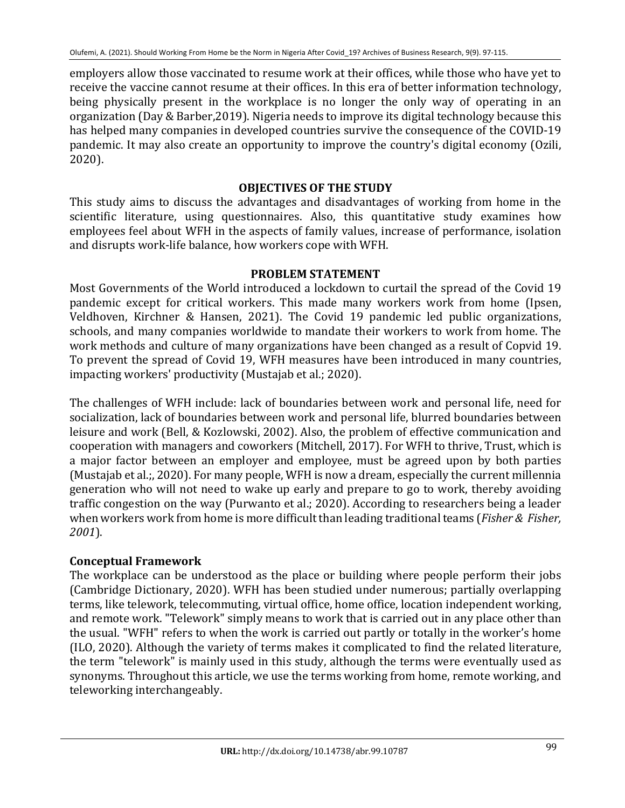employers allow those vaccinated to resume work at their offices, while those who have yet to receive the vaccine cannot resume at their offices. In this era of better information technology, being physically present in the workplace is no longer the only way of operating in an organization (Day & Barber, 2019). Nigeria needs to improve its digital technology because this has helped many companies in developed countries survive the consequence of the COVID-19 pandemic. It may also create an opportunity to improve the country's digital economy (Ozili, 2020).

## **OBJECTIVES OF THE STUDY**

This study aims to discuss the advantages and disadvantages of working from home in the scientific literature, using questionnaires. Also, this quantitative study examines how employees feel about WFH in the aspects of family values, increase of performance, isolation and disrupts work-life balance, how workers cope with WFH.

## **PROBLEM STATEMENT**

Most Governments of the World introduced a lockdown to curtail the spread of the Covid 19 pandemic except for critical workers. This made many workers work from home (Ipsen, Veldhoven, Kirchner & Hansen, 2021). The Covid 19 pandemic led public organizations, schools, and many companies worldwide to mandate their workers to work from home. The work methods and culture of many organizations have been changed as a result of Copvid 19. To prevent the spread of Covid 19, WFH measures have been introduced in many countries, impacting workers' productivity (Mustajab et al.; 2020).

The challenges of WFH include: lack of boundaries between work and personal life, need for socialization, lack of boundaries between work and personal life, blurred boundaries between leisure and work (Bell, & Kozlowski, 2002). Also, the problem of effective communication and cooperation with managers and coworkers (Mitchell, 2017). For WFH to thrive, Trust, which is a major factor between an employer and employee, must be agreed upon by both parties (Mustajab et al.;, 2020). For many people, WFH is now a dream, especially the current millennia generation who will not need to wake up early and prepare to go to work, thereby avoiding traffic congestion on the way (Purwanto et al.; 2020). According to researchers being a leader when workers work from home is more difficult than leading traditional teams (*Fisher & Fisher*, *2001*).

## **Conceptual Framework**

The workplace can be understood as the place or building where people perform their jobs (Cambridge Dictionary, 2020). WFH has been studied under numerous; partially overlapping terms, like telework, telecommuting, virtual office, home office, location independent working, and remote work. "Telework" simply means to work that is carried out in any place other than the usual. "WFH" refers to when the work is carried out partly or totally in the worker's home (ILO, 2020). Although the variety of terms makes it complicated to find the related literature, the term "telework" is mainly used in this study, although the terms were eventually used as synonyms. Throughout this article, we use the terms working from home, remote working, and teleworking interchangeably.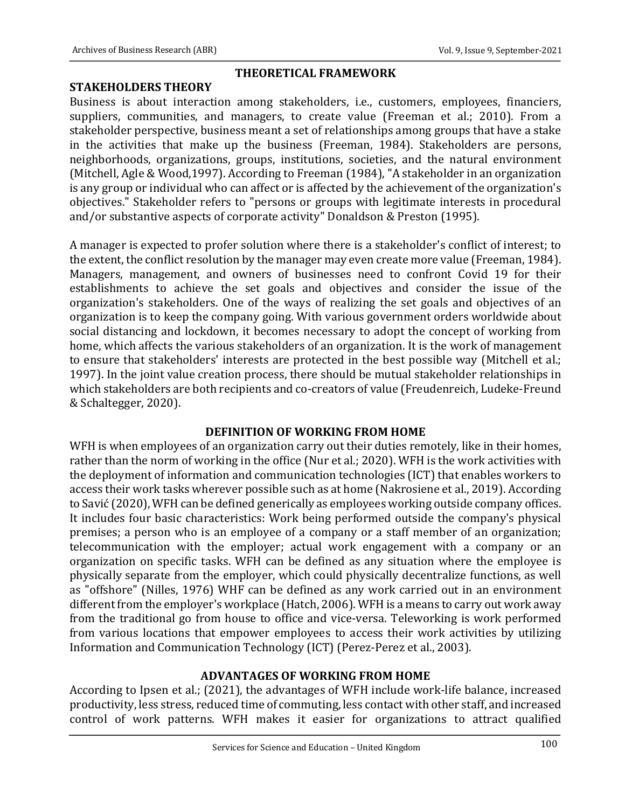## **STAKEHOLDERS THEORY**

### **THEORETICAL FRAMEWORK**

Business is about interaction among stakeholders, i.e., customers, employees, financiers, suppliers, communities, and managers, to create value (Freeman et al.; 2010). From a stakeholder perspective, business meant a set of relationships among groups that have a stake in the activities that make up the business (Freeman, 1984). Stakeholders are persons, neighborhoods, organizations, groups, institutions, societies, and the natural environment (Mitchell, Agle & Wood,1997). According to Freeman (1984), "A stakeholder in an organization is any group or individual who can affect or is affected by the achievement of the organization's objectives." Stakeholder refers to "persons or groups with legitimate interests in procedural and/or substantive aspects of corporate activity" Donaldson & Preston (1995).

A manager is expected to profer solution where there is a stakeholder's conflict of interest; to the extent, the conflict resolution by the manager may even create more value (Freeman, 1984). Managers, management, and owners of businesses need to confront Covid 19 for their establishments to achieve the set goals and objectives and consider the issue of the organization's stakeholders. One of the ways of realizing the set goals and objectives of an organization is to keep the company going. With various government orders worldwide about social distancing and lockdown, it becomes necessary to adopt the concept of working from home, which affects the various stakeholders of an organization. It is the work of management to ensure that stakeholders' interests are protected in the best possible way (Mitchell et al.; 1997). In the joint value creation process, there should be mutual stakeholder relationships in which stakeholders are both recipients and co-creators of value (Freudenreich, Ludeke-Freund & Schaltegger, 2020). 

## **DEFINITION OF WORKING FROM HOME**

WFH is when employees of an organization carry out their duties remotely, like in their homes, rather than the norm of working in the office (Nur et al.; 2020). WFH is the work activities with the deployment of information and communication technologies (ICT) that enables workers to access their work tasks wherever possible such as at home (Nakrosiene et al., 2019). According to Savić (2020), WFH can be defined generically as employees working outside company offices. It includes four basic characteristics: Work being performed outside the company's physical premises; a person who is an employee of a company or a staff member of an organization; telecommunication with the employer; actual work engagement with a company or an organization on specific tasks. WFH can be defined as any situation where the employee is physically separate from the employer, which could physically decentralize functions, as well as "offshore" (Nilles, 1976) WHF can be defined as any work carried out in an environment different from the employer's workplace (Hatch, 2006). WFH is a means to carry out work away from the traditional go from house to office and vice-versa. Teleworking is work performed from various locations that empower employees to access their work activities by utilizing Information and Communication Technology (ICT) (Perez-Perez et al., 2003).

## **ADVANTAGES OF WORKING FROM HOME**

According to Ipsen et al.; (2021), the advantages of WFH include work-life balance, increased productivity, less stress, reduced time of commuting, less contact with other staff, and increased control of work patterns. WFH makes it easier for organizations to attract qualified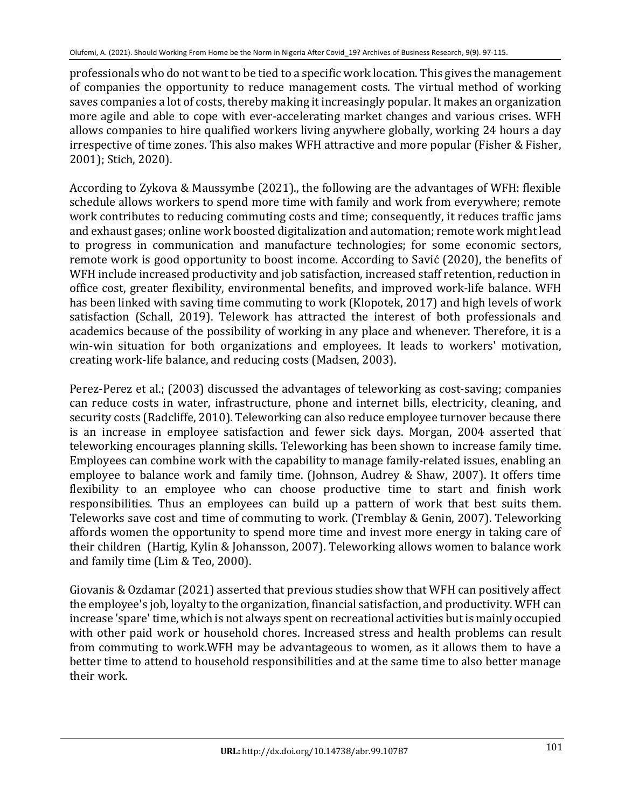professionals who do not want to be tied to a specific work location. This gives the management of companies the opportunity to reduce management costs. The virtual method of working saves companies a lot of costs, thereby making it increasingly popular. It makes an organization more agile and able to cope with ever-accelerating market changes and various crises. WFH allows companies to hire qualified workers living anywhere globally, working 24 hours a day irrespective of time zones. This also makes WFH attractive and more popular (Fisher & Fisher, 2001); Stich, 2020).

According to Zykova & Maussymbe (2021)., the following are the advantages of WFH: flexible schedule allows workers to spend more time with family and work from everywhere; remote work contributes to reducing commuting costs and time; consequently, it reduces traffic jams and exhaust gases; online work boosted digitalization and automation; remote work might lead to progress in communication and manufacture technologies; for some economic sectors, remote work is good opportunity to boost income. According to Savić (2020), the benefits of WFH include increased productivity and job satisfaction, increased staff retention, reduction in office cost, greater flexibility, environmental benefits, and improved work-life balance. WFH has been linked with saving time commuting to work (Klopotek, 2017) and high levels of work satisfaction (Schall, 2019). Telework has attracted the interest of both professionals and academics because of the possibility of working in any place and whenever. Therefore, it is a win-win situation for both organizations and employees. It leads to workers' motivation, creating work-life balance, and reducing costs (Madsen, 2003).

Perez-Perez et al.; (2003) discussed the advantages of teleworking as cost-saving; companies can reduce costs in water, infrastructure, phone and internet bills, electricity, cleaning, and security costs (Radcliffe, 2010). Teleworking can also reduce employee turnover because there is an increase in employee satisfaction and fewer sick days. Morgan, 2004 asserted that teleworking encourages planning skills. Teleworking has been shown to increase family time. Employees can combine work with the capability to manage family-related issues, enabling an employee to balance work and family time. (Johnson, Audrey & Shaw, 2007). It offers time flexibility to an employee who can choose productive time to start and finish work responsibilities. Thus an employees can build up a pattern of work that best suits them. Teleworks save cost and time of commuting to work. (Tremblay & Genin, 2007). Teleworking affords women the opportunity to spend more time and invest more energy in taking care of their children (Hartig, Kylin & Johansson, 2007). Teleworking allows women to balance work and family time (Lim & Teo, 2000).

Giovanis & Ozdamar (2021) asserted that previous studies show that WFH can positively affect the employee's job, loyalty to the organization, financial satisfaction, and productivity. WFH can increase 'spare' time, which is not always spent on recreational activities but is mainly occupied with other paid work or household chores. Increased stress and health problems can result from commuting to work.WFH may be advantageous to women, as it allows them to have a better time to attend to household responsibilities and at the same time to also better manage their work.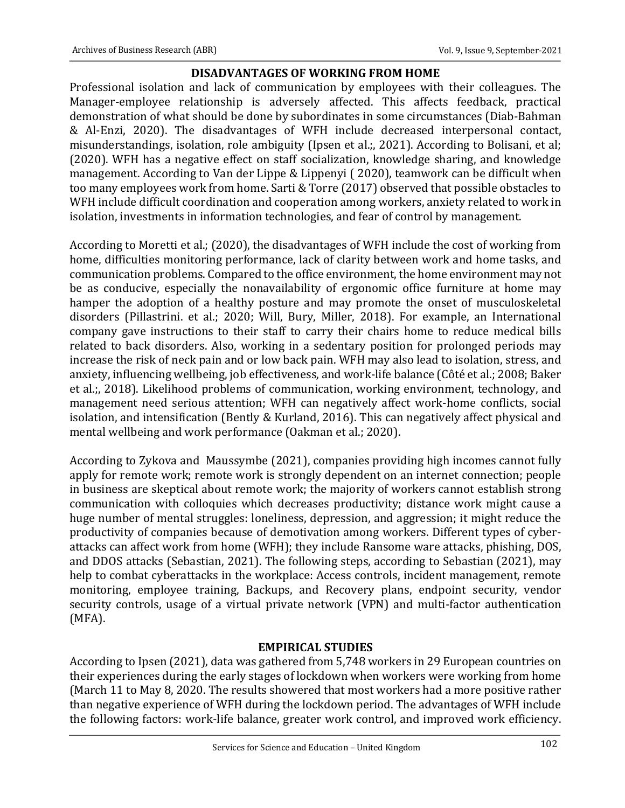### **DISADVANTAGES OF WORKING FROM HOME**

Professional isolation and lack of communication by employees with their colleagues. The Manager-employee relationship is adversely affected. This affects feedback, practical demonstration of what should be done by subordinates in some circumstances (Diab-Bahman & Al-Enzi, 2020). The disadvantages of WFH include decreased interpersonal contact, misunderstandings, isolation, role ambiguity (Ipsen et al.;, 2021). According to Bolisani, et al; (2020). WFH has a negative effect on staff socialization, knowledge sharing, and knowledge management. According to Van der Lippe & Lippenyi ( 2020), teamwork can be difficult when too many employees work from home. Sarti & Torre (2017) observed that possible obstacles to WFH include difficult coordination and cooperation among workers, anxiety related to work in isolation, investments in information technologies, and fear of control by management.

According to Moretti et al.; (2020), the disadvantages of WFH include the cost of working from home, difficulties monitoring performance, lack of clarity between work and home tasks, and communication problems. Compared to the office environment, the home environment may not be as conducive, especially the nonavailability of ergonomic office furniture at home may hamper the adoption of a healthy posture and may promote the onset of musculoskeletal disorders (Pillastrini. et al.; 2020; Will, Bury, Miller, 2018). For example, an International company gave instructions to their staff to carry their chairs home to reduce medical bills related to back disorders. Also, working in a sedentary position for prolonged periods may increase the risk of neck pain and or low back pain. WFH may also lead to isolation, stress, and anxiety, influencing wellbeing, job effectiveness, and work-life balance (Côté et al.; 2008; Baker et al.;, 2018). Likelihood problems of communication, working environment, technology, and management need serious attention; WFH can negatively affect work-home conflicts, social isolation, and intensification (Bently & Kurland, 2016). This can negatively affect physical and mental wellbeing and work performance (Oakman et al.; 2020).

According to Zykova and Maussymbe (2021), companies providing high incomes cannot fully apply for remote work; remote work is strongly dependent on an internet connection; people in business are skeptical about remote work; the majority of workers cannot establish strong communication with colloquies which decreases productivity; distance work might cause a huge number of mental struggles: loneliness, depression, and aggression; it might reduce the productivity of companies because of demotivation among workers. Different types of cyberattacks can affect work from home (WFH); they include Ransome ware attacks, phishing, DOS, and DDOS attacks (Sebastian, 2021). The following steps, according to Sebastian (2021), may help to combat cyberattacks in the workplace: Access controls, incident management, remote monitoring, employee training, Backups, and Recovery plans, endpoint security, vendor security controls, usage of a virtual private network (VPN) and multi-factor authentication (MFA).

## **EMPIRICAL STUDIES**

According to Ipsen (2021), data was gathered from 5,748 workers in 29 European countries on their experiences during the early stages of lockdown when workers were working from home (March 11 to May 8, 2020. The results showered that most workers had a more positive rather than negative experience of WFH during the lockdown period. The advantages of WFH include the following factors: work-life balance, greater work control, and improved work efficiency.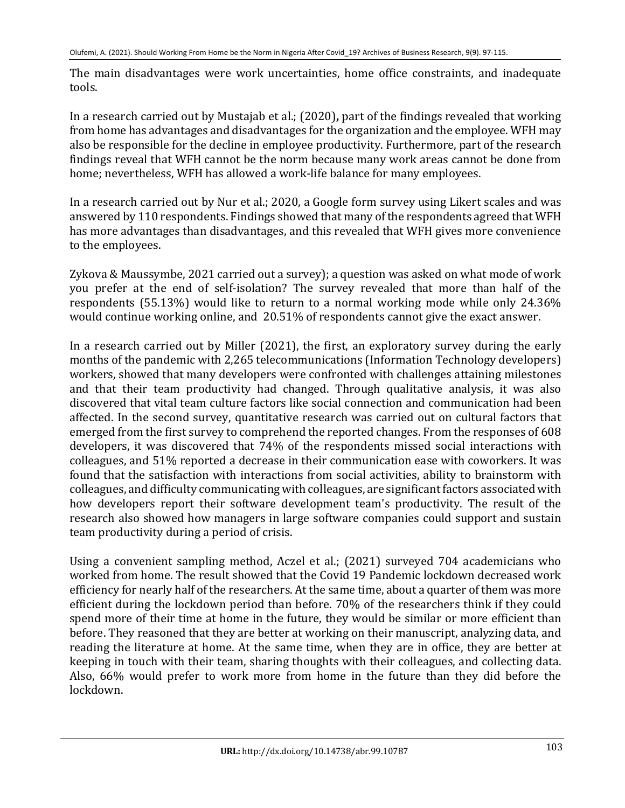The main disadvantages were work uncertainties, home office constraints, and inadequate tools. 

In a research carried out by Mustajab et al.; (2020), part of the findings revealed that working from home has advantages and disadvantages for the organization and the employee. WFH may also be responsible for the decline in employee productivity. Furthermore, part of the research findings reveal that WFH cannot be the norm because many work areas cannot be done from home; nevertheless, WFH has allowed a work-life balance for many employees.

In a research carried out by Nur et al.; 2020, a Google form survey using Likert scales and was answered by 110 respondents. Findings showed that many of the respondents agreed that WFH has more advantages than disadvantages, and this revealed that WFH gives more convenience to the employees.

Zykova & Maussymbe, 2021 carried out a survey); a question was asked on what mode of work you prefer at the end of self-isolation? The survey revealed that more than half of the respondents (55.13%) would like to return to a normal working mode while only 24.36% would continue working online, and 20.51% of respondents cannot give the exact answer.

In a research carried out by Miller  $(2021)$ , the first, an exploratory survey during the early months of the pandemic with 2,265 telecommunications (Information Technology developers) workers, showed that many developers were confronted with challenges attaining milestones and that their team productivity had changed. Through qualitative analysis, it was also discovered that vital team culture factors like social connection and communication had been affected. In the second survey, quantitative research was carried out on cultural factors that emerged from the first survey to comprehend the reported changes. From the responses of 608 developers, it was discovered that 74% of the respondents missed social interactions with colleagues, and 51% reported a decrease in their communication ease with coworkers. It was found that the satisfaction with interactions from social activities, ability to brainstorm with colleagues, and difficulty communicating with colleagues, are significant factors associated with how developers report their software development team's productivity. The result of the research also showed how managers in large software companies could support and sustain team productivity during a period of crisis.

Using a convenient sampling method, Aczel et al.; (2021) surveyed 704 academicians who worked from home. The result showed that the Covid 19 Pandemic lockdown decreased work efficiency for nearly half of the researchers. At the same time, about a quarter of them was more efficient during the lockdown period than before. 70% of the researchers think if they could spend more of their time at home in the future, they would be similar or more efficient than before. They reasoned that they are better at working on their manuscript, analyzing data, and reading the literature at home. At the same time, when they are in office, they are better at keeping in touch with their team, sharing thoughts with their colleagues, and collecting data. Also, 66% would prefer to work more from home in the future than they did before the lockdown.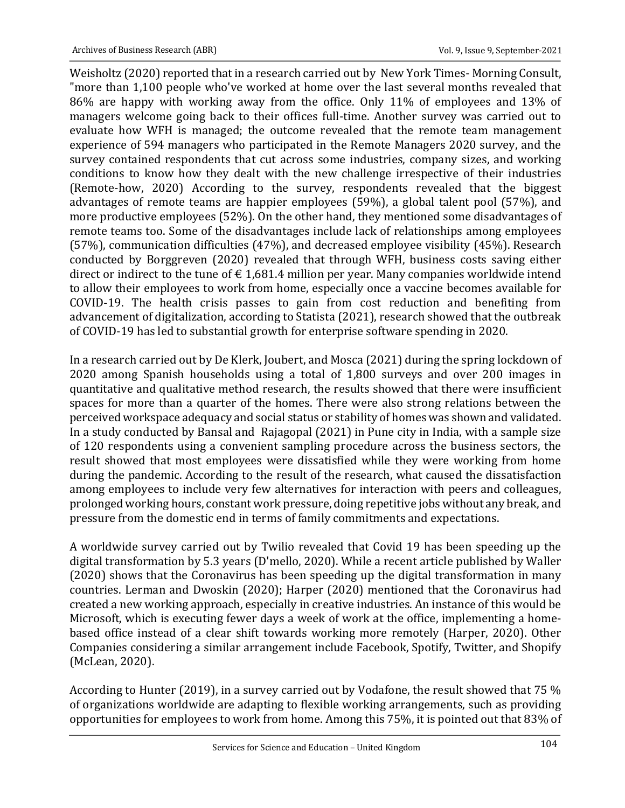Weisholtz (2020) reported that in a research carried out by New York Times- Morning Consult, "more than 1,100 people who've worked at home over the last several months revealed that 86% are happy with working away from the office. Only 11% of employees and 13% of managers welcome going back to their offices full-time. Another survey was carried out to evaluate how WFH is managed; the outcome revealed that the remote team management experience of 594 managers who participated in the Remote Managers 2020 survey, and the survey contained respondents that cut across some industries, company sizes, and working conditions to know how they dealt with the new challenge irrespective of their industries (Remote-how, 2020) According to the survey, respondents revealed that the biggest advantages of remote teams are happier employees  $(59%)$ , a global talent pool  $(57%)$ , and more productive employees (52%). On the other hand, they mentioned some disadvantages of remote teams too. Some of the disadvantages include lack of relationships among employees (57%), communication difficulties  $(47%)$ , and decreased employee visibility  $(45%)$ . Research conducted by Borggreven (2020) revealed that through WFH, business costs saving either direct or indirect to the tune of  $\epsilon$  1,681.4 million per year. Many companies worldwide intend to allow their employees to work from home, especially once a vaccine becomes available for COVID-19. The health crisis passes to gain from cost reduction and benefiting from advancement of digitalization, according to Statista (2021), research showed that the outbreak of COVID-19 has led to substantial growth for enterprise software spending in 2020.

In a research carried out by De Klerk, Joubert, and Mosca (2021) during the spring lockdown of 2020 among Spanish households using a total of 1,800 surveys and over 200 images in quantitative and qualitative method research, the results showed that there were insufficient spaces for more than a quarter of the homes. There were also strong relations between the perceived workspace adequacy and social status or stability of homes was shown and validated. In a study conducted by Bansal and Rajagopal (2021) in Pune city in India, with a sample size of 120 respondents using a convenient sampling procedure across the business sectors, the result showed that most employees were dissatisfied while they were working from home during the pandemic. According to the result of the research, what caused the dissatisfaction among employees to include very few alternatives for interaction with peers and colleagues, prolonged working hours, constant work pressure, doing repetitive jobs without any break, and pressure from the domestic end in terms of family commitments and expectations.

A worldwide survey carried out by Twilio revealed that Covid 19 has been speeding up the digital transformation by 5.3 years (D'mello, 2020). While a recent article published by Waller (2020) shows that the Coronavirus has been speeding up the digital transformation in many countries. Lerman and Dwoskin (2020); Harper (2020) mentioned that the Coronavirus had created a new working approach, especially in creative industries. An instance of this would be Microsoft, which is executing fewer days a week of work at the office, implementing a homebased office instead of a clear shift towards working more remotely (Harper, 2020). Other Companies considering a similar arrangement include Facebook, Spotify, Twitter, and Shopify (McLean, 2020).

According to Hunter (2019), in a survey carried out by Vodafone, the result showed that 75 % of organizations worldwide are adapting to flexible working arrangements, such as providing opportunities for employees to work from home. Among this 75%, it is pointed out that 83% of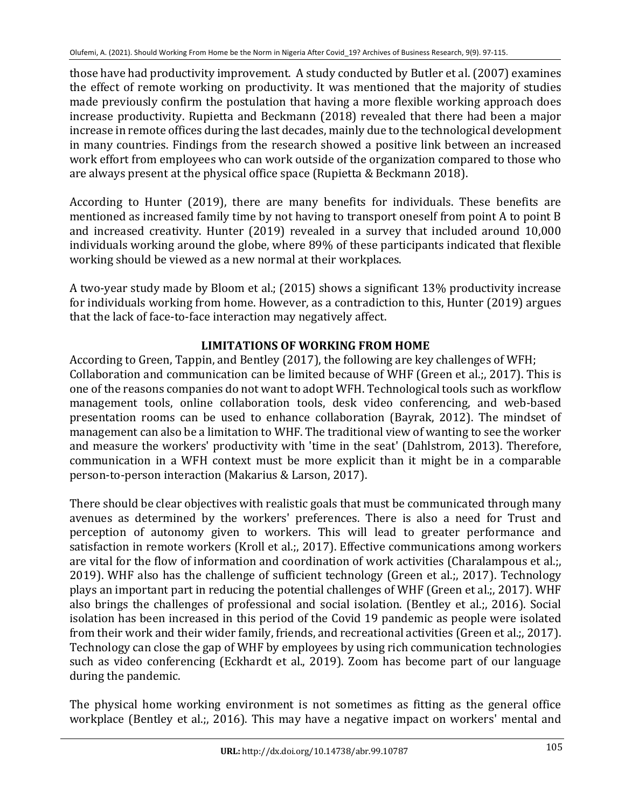those have had productivity improvement. A study conducted by Butler et al. (2007) examines the effect of remote working on productivity. It was mentioned that the majority of studies made previously confirm the postulation that having a more flexible working approach does increase productivity. Rupietta and Beckmann (2018) revealed that there had been a major increase in remote offices during the last decades, mainly due to the technological development in many countries. Findings from the research showed a positive link between an increased work effort from employees who can work outside of the organization compared to those who are always present at the physical office space (Rupietta & Beckmann 2018).

According to Hunter (2019), there are many benefits for individuals. These benefits are mentioned as increased family time by not having to transport oneself from point A to point B and increased creativity. Hunter (2019) revealed in a survey that included around 10,000 individuals working around the globe, where 89% of these participants indicated that flexible working should be viewed as a new normal at their workplaces.

A two-year study made by Bloom et al.; (2015) shows a significant 13% productivity increase for individuals working from home. However, as a contradiction to this, Hunter (2019) argues that the lack of face-to-face interaction may negatively affect.

## **LIMITATIONS OF WORKING FROM HOME**

According to Green, Tappin, and Bentley (2017), the following are key challenges of WFH; Collaboration and communication can be limited because of WHF (Green et al.;, 2017). This is one of the reasons companies do not want to adopt WFH. Technological tools such as workflow management tools, online collaboration tools, desk video conferencing, and web-based presentation rooms can be used to enhance collaboration (Bayrak, 2012). The mindset of management can also be a limitation to WHF. The traditional view of wanting to see the worker and measure the workers' productivity with 'time in the seat' (Dahlstrom, 2013). Therefore, communication in a WFH context must be more explicit than it might be in a comparable person-to-person interaction (Makarius & Larson, 2017).

There should be clear objectives with realistic goals that must be communicated through many avenues as determined by the workers' preferences. There is also a need for Trust and perception of autonomy given to workers. This will lead to greater performance and satisfaction in remote workers (Kroll et al.;, 2017). Effective communications among workers are vital for the flow of information and coordination of work activities (Charalampous et al.;, 2019). WHF also has the challenge of sufficient technology (Green et al.;, 2017). Technology plays an important part in reducing the potential challenges of WHF (Green et al.;, 2017). WHF also brings the challenges of professional and social isolation. (Bentley et al.;, 2016). Social isolation has been increased in this period of the Covid 19 pandemic as people were isolated from their work and their wider family, friends, and recreational activities (Green et al.;, 2017). Technology can close the gap of WHF by employees by using rich communication technologies such as video conferencing (Eckhardt et al., 2019). Zoom has become part of our language during the pandemic.

The physical home working environment is not sometimes as fitting as the general office workplace (Bentley et al.;, 2016). This may have a negative impact on workers' mental and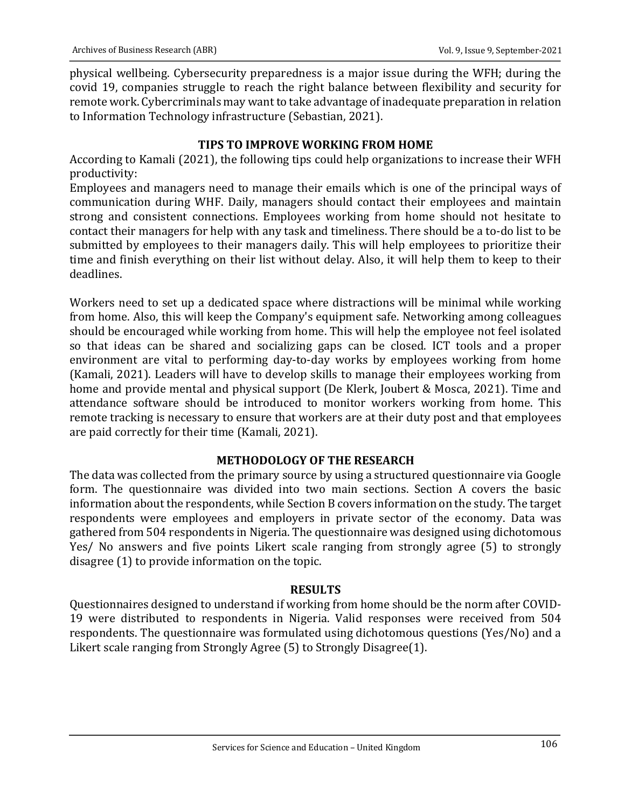physical wellbeing. Cybersecurity preparedness is a major issue during the WFH; during the covid 19, companies struggle to reach the right balance between flexibility and security for remote work. Cybercriminals may want to take advantage of inadequate preparation in relation to Information Technology infrastructure (Sebastian, 2021).

## **TIPS TO IMPROVE WORKING FROM HOME**

According to Kamali (2021), the following tips could help organizations to increase their WFH productivity:

Employees and managers need to manage their emails which is one of the principal ways of communication during WHF. Daily, managers should contact their employees and maintain strong and consistent connections. Employees working from home should not hesitate to contact their managers for help with any task and timeliness. There should be a to-do list to be submitted by employees to their managers daily. This will help employees to prioritize their time and finish everything on their list without delay. Also, it will help them to keep to their deadlines.

Workers need to set up a dedicated space where distractions will be minimal while working from home. Also, this will keep the Company's equipment safe. Networking among colleagues should be encouraged while working from home. This will help the employee not feel isolated so that ideas can be shared and socializing gaps can be closed. ICT tools and a proper environment are vital to performing day-to-day works by employees working from home (Kamali, 2021). Leaders will have to develop skills to manage their employees working from home and provide mental and physical support (De Klerk, Joubert & Mosca, 2021). Time and attendance software should be introduced to monitor workers working from home. This remote tracking is necessary to ensure that workers are at their duty post and that employees are paid correctly for their time (Kamali, 2021).

## **METHODOLOGY OF THE RESEARCH**

The data was collected from the primary source by using a structured questionnaire via Google form. The questionnaire was divided into two main sections. Section A covers the basic information about the respondents, while Section B covers information on the study. The target respondents were employees and employers in private sector of the economy. Data was gathered from 504 respondents in Nigeria. The questionnaire was designed using dichotomous Yes/ No answers and five points Likert scale ranging from strongly agree (5) to strongly disagree  $(1)$  to provide information on the topic.

## **RESULTS**

Questionnaires designed to understand if working from home should be the norm after COVID-19 were distributed to respondents in Nigeria. Valid responses were received from 504 respondents. The questionnaire was formulated using dichotomous questions (Yes/No) and a Likert scale ranging from Strongly Agree  $(5)$  to Strongly Disagree $(1)$ .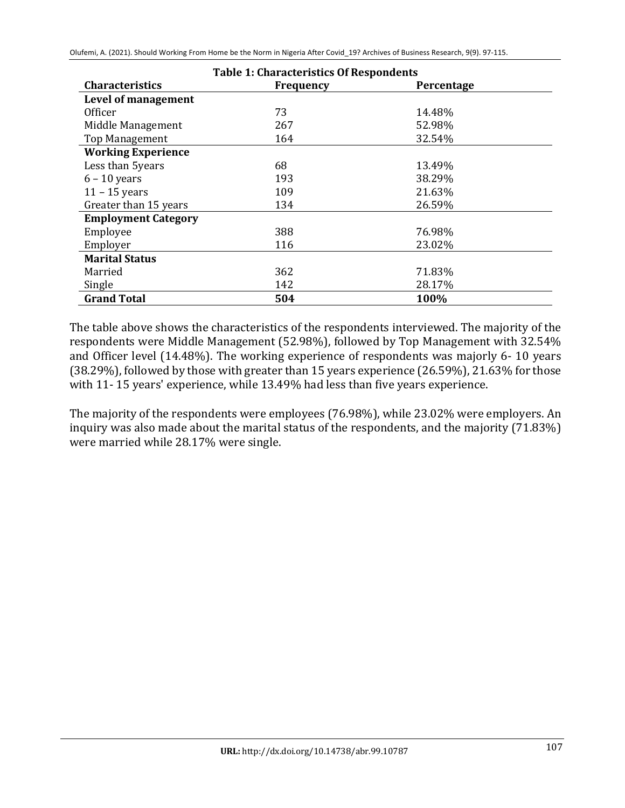Olufemi, A. (2021). Should Working From Home be the Norm in Nigeria After Covid\_19? Archives of Business Research, 9(9). 97-115.

| <b>Table 1: Characteristics Of Respondents</b> |                  |            |  |
|------------------------------------------------|------------------|------------|--|
| <b>Characteristics</b>                         | <b>Frequency</b> | Percentage |  |
| Level of management                            |                  |            |  |
| Officer                                        | 73               | 14.48%     |  |
| Middle Management                              | 267              | 52.98%     |  |
| <b>Top Management</b>                          | 164              | 32.54%     |  |
| <b>Working Experience</b>                      |                  |            |  |
| Less than 5years                               | 68               | 13.49%     |  |
| $6 - 10$ years                                 | 193              | 38.29%     |  |
| $11 - 15$ years                                | 109              | 21.63%     |  |
| Greater than 15 years                          | 134              | 26.59%     |  |
| <b>Employment Category</b>                     |                  |            |  |
| Employee                                       | 388              | 76.98%     |  |
| Employer                                       | 116              | 23.02%     |  |
| <b>Marital Status</b>                          |                  |            |  |
| Married                                        | 362              | 71.83%     |  |
| Single                                         | 142              | 28.17%     |  |
| <b>Grand Total</b>                             | 504              | 100%       |  |

The table above shows the characteristics of the respondents interviewed. The majority of the respondents were Middle Management (52.98%), followed by Top Management with 32.54% and Officer level (14.48%). The working experience of respondents was majorly 6-10 years  $(38.29\%)$ , followed by those with greater than 15 years experience  $(26.59\%)$ , 21.63% for those with 11-15 years' experience, while 13.49% had less than five years experience.

The majority of the respondents were employees (76.98%), while 23.02% were employers. An inquiry was also made about the marital status of the respondents, and the majority (71.83%) were married while 28.17% were single.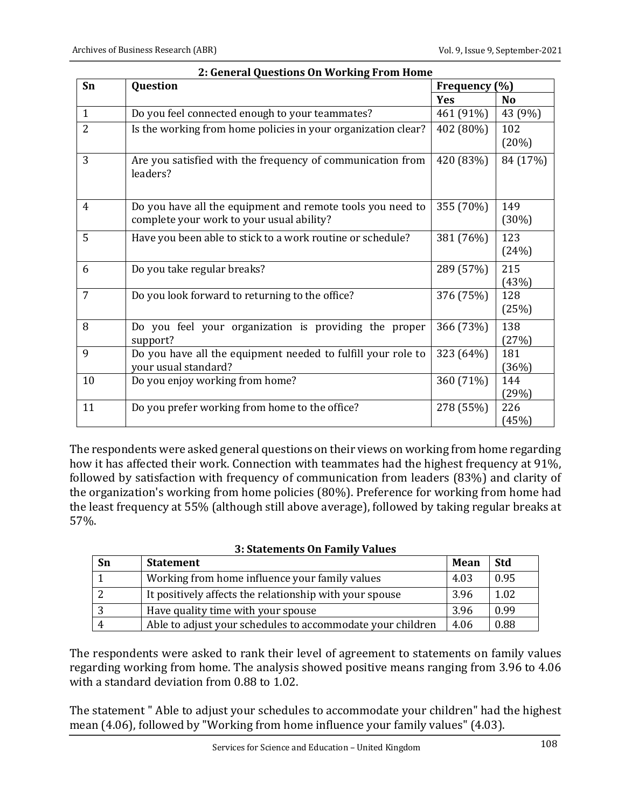| Sn             | $\alpha$ choral galesticity on $\alpha$ channel<br>Question                                             | Frequency (%) |              |
|----------------|---------------------------------------------------------------------------------------------------------|---------------|--------------|
|                |                                                                                                         | Yes           | <b>No</b>    |
| $\mathbf{1}$   | Do you feel connected enough to your teammates?                                                         | 461 (91%)     | 43 (9%)      |
| $\overline{2}$ | Is the working from home policies in your organization clear?                                           | 402 (80%)     | 102<br>(20%) |
| 3              | Are you satisfied with the frequency of communication from<br>leaders?                                  | 420 (83%)     | 84 (17%)     |
| 4              | Do you have all the equipment and remote tools you need to<br>complete your work to your usual ability? | 355 (70%)     | 149<br>(30%) |
| 5              | Have you been able to stick to a work routine or schedule?                                              | 381 (76%)     | 123<br>(24%) |
| 6              | Do you take regular breaks?                                                                             | 289 (57%)     | 215<br>(43%) |
| 7              | Do you look forward to returning to the office?                                                         | 376 (75%)     | 128<br>(25%) |
| 8              | Do you feel your organization is providing the proper<br>support?                                       | 366 (73%)     | 138<br>(27%) |
| 9              | Do you have all the equipment needed to fulfill your role to<br>your usual standard?                    | 323 (64%)     | 181<br>(36%) |
| 10             | Do you enjoy working from home?                                                                         | 360 (71%)     | 144<br>(29%) |
| 11             | Do you prefer working from home to the office?                                                          | 278 (55%)     | 226<br>(45%) |

| 2: General Questions On Working From Home |  |
|-------------------------------------------|--|
|-------------------------------------------|--|

The respondents were asked general questions on their views on working from home regarding how it has affected their work. Connection with teammates had the highest frequency at 91%, followed by satisfaction with frequency of communication from leaders (83%) and clarity of the organization's working from home policies (80%). Preference for working from home had the least frequency at 55% (although still above average), followed by taking regular breaks at 57%.

### **3: Statements On Family Values**

| Sn | <b>Statement</b>                                           | Mean | Std  |
|----|------------------------------------------------------------|------|------|
|    | Working from home influence your family values             | 4.03 | 0.95 |
|    | It positively affects the relationship with your spouse    | 3.96 | 1.02 |
|    | Have quality time with your spouse                         | 3.96 | 0.99 |
|    | Able to adjust your schedules to accommodate your children | 4.06 | 0.88 |

The respondents were asked to rank their level of agreement to statements on family values regarding working from home. The analysis showed positive means ranging from 3.96 to 4.06 with a standard deviation from  $0.88$  to  $1.02$ .

The statement " Able to adjust your schedules to accommodate your children" had the highest mean (4.06), followed by "Working from home influence your family values" (4.03).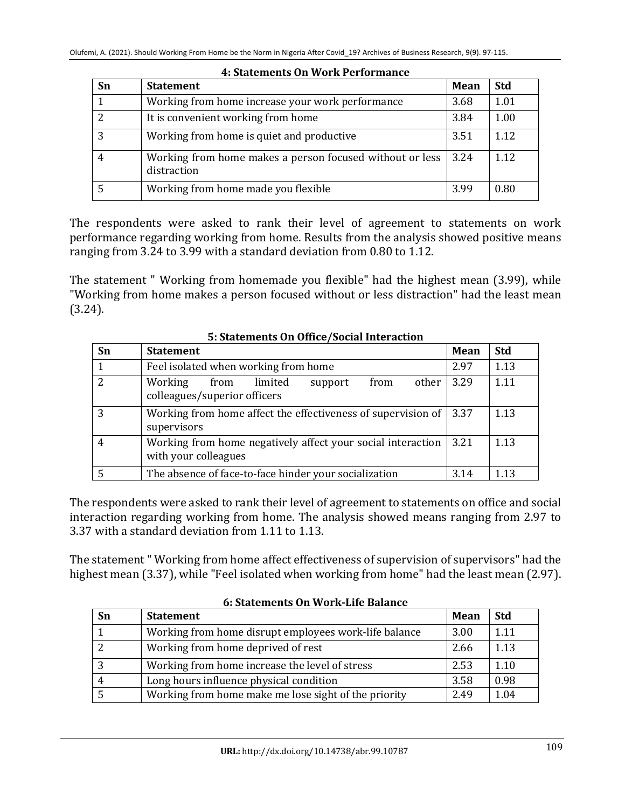| Sn | <b>Statement</b>                                                        | Mean | <b>Std</b> |
|----|-------------------------------------------------------------------------|------|------------|
|    | Working from home increase your work performance                        | 3.68 | 1.01       |
|    | It is convenient working from home                                      | 3.84 | 1.00       |
| 3  | Working from home is quiet and productive                               | 3.51 | 1.12       |
|    | Working from home makes a person focused without or less<br>distraction | 3.24 | 1.12       |
|    | Working from home made you flexible                                     | 3.99 | 0.80       |

#### **4: Statements On Work Performance**

The respondents were asked to rank their level of agreement to statements on work performance regarding working from home. Results from the analysis showed positive means ranging from 3.24 to 3.99 with a standard deviation from 0.80 to 1.12.

The statement " Working from homemade you flexible" had the highest mean (3.99), while "Working from home makes a person focused without or less distraction" had the least mean (3.24).

| Sn | <b>Statement</b>                                                                         | Mean | <b>Std</b> |
|----|------------------------------------------------------------------------------------------|------|------------|
|    | Feel isolated when working from home                                                     | 2.97 | 1.13       |
|    | Working<br>limited<br>other<br>from<br>from<br>support<br>colleagues/superior officers   | 3.29 | 1.11       |
|    | Working from home affect the effectiveness of supervision of $\vert$ 3.37<br>supervisors |      | 1.13       |
|    | Working from home negatively affect your social interaction<br>with your colleagues      | 3.21 | 1.13       |
|    | The absence of face-to-face hinder your socialization                                    | 3.14 | 1.13       |

### **5: Statements On Office/Social Interaction**

The respondents were asked to rank their level of agreement to statements on office and social interaction regarding working from home. The analysis showed means ranging from 2.97 to 3.37 with a standard deviation from 1.11 to 1.13.

The statement "Working from home affect effectiveness of supervision of supervisors" had the highest mean (3.37), while "Feel isolated when working from home" had the least mean (2.97).

| <u>u Juachnems Un wurden balance</u> |                                                       |             |            |
|--------------------------------------|-------------------------------------------------------|-------------|------------|
| Sn                                   | <b>Statement</b>                                      | <b>Mean</b> | <b>Std</b> |
|                                      | Working from home disrupt employees work-life balance | 3.00        | 1.11       |
|                                      | Working from home deprived of rest                    | 2.66        | 1.13       |
| $\overline{3}$                       | Working from home increase the level of stress        | 2.53        | 1.10       |
|                                      | Long hours influence physical condition               | 3.58        | 0.98       |
|                                      | Working from home make me lose sight of the priority  | 2.49        | 1.04       |

### **6: Statements On Work-Life Balance**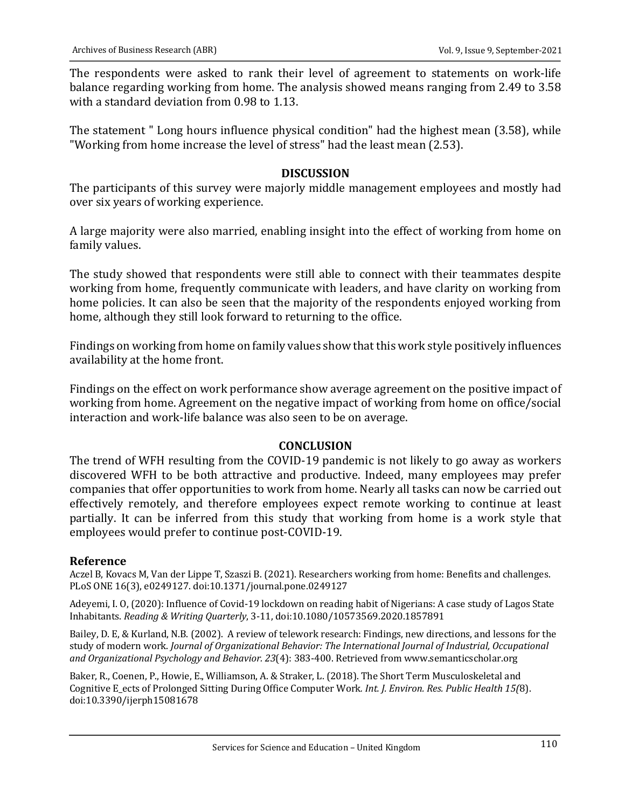The respondents were asked to rank their level of agreement to statements on work-life balance regarding working from home. The analysis showed means ranging from 2.49 to 3.58 with a standard deviation from 0.98 to 1.13.

The statement " Long hours influence physical condition" had the highest mean (3.58), while "Working from home increase the level of stress" had the least mean (2.53).

## **DISCUSSION**

The participants of this survey were majorly middle management employees and mostly had over six years of working experience.

A large majority were also married, enabling insight into the effect of working from home on family values.

The study showed that respondents were still able to connect with their teammates despite working from home, frequently communicate with leaders, and have clarity on working from home policies. It can also be seen that the majority of the respondents enjoyed working from home, although they still look forward to returning to the office.

Findings on working from home on family values show that this work style positively influences availability at the home front.

Findings on the effect on work performance show average agreement on the positive impact of working from home. Agreement on the negative impact of working from home on office/social interaction and work-life balance was also seen to be on average.

### **CONCLUSION**

The trend of WFH resulting from the COVID-19 pandemic is not likely to go away as workers discovered WFH to be both attractive and productive. Indeed, many employees may prefer companies that offer opportunities to work from home. Nearly all tasks can now be carried out effectively remotely, and therefore employees expect remote working to continue at least partially. It can be inferred from this study that working from home is a work style that employees would prefer to continue post-COVID-19.

## **Reference**

Aczel B, Kovacs M, Van der Lippe T, Szaszi B. (2021). Researchers working from home: Benefits and challenges. PLoS ONE 16(3), e0249127. doi:10.1371/journal.pone.0249127

Adeyemi, I. O, (2020): Influence of Covid-19 lockdown on reading habit of Nigerians: A case study of Lagos State Inhabitants. *Reading & Writing Quarterly*, 3-11, doi:10.1080/10573569.2020.1857891

Bailey, D. E, & Kurland, N.B. (2002). A review of telework research: Findings, new directions, and lessons for the study of modern work. *Journal of Organizational Behavior: The International Journal of Industrial, Occupational* and Organizational Psychology and Behavior. 23(4): 383-400. Retrieved from www.semanticscholar.org

Baker, R., Coenen, P., Howie, E., Williamson, A. & Straker, L. (2018). The Short Term Musculoskeletal and Cognitive E\_ects of Prolonged Sitting During Office Computer Work. Int. J. Environ. Res. Public Health 15(8). doi:10.3390/ijerph15081678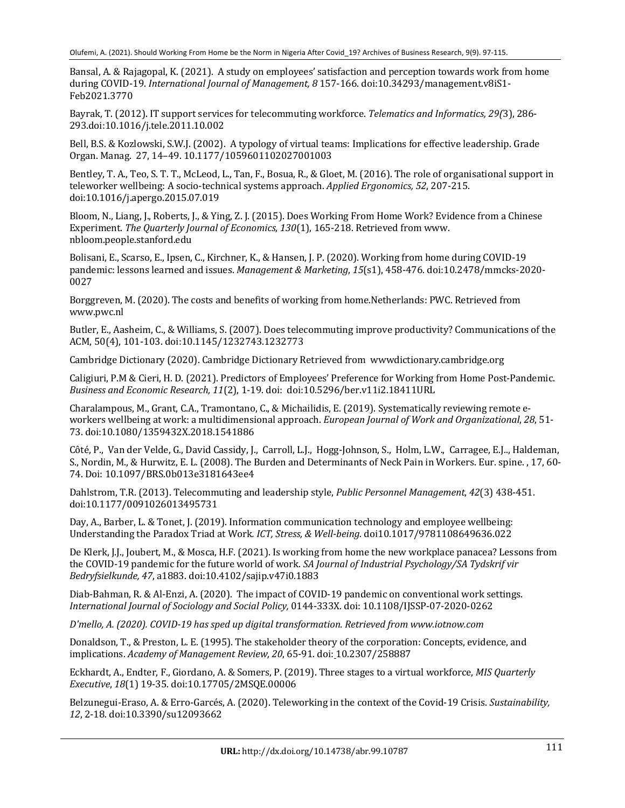Bansal, A. & Rajagopal, K. (2021). A study on employees' satisfaction and perception towards work from home during COVID-19. *International Journal of Management, 8* 157-166. doi:10.34293/management.v8iS1-Feb2021.3770

Bayrak, T. (2012). IT support services for telecommuting workforce. *Telematics and Informatics, 29(3)*, 286-293.doi:10.1016/j.tele.2011.10.002

Bell, B.S. & Kozlowski, S.W.J. (2002). A typology of virtual teams: Implications for effective leadership. Grade Organ. Manag. 27, 14–49. 10.1177/1059601102027001003

Bentley, T. A., Teo, S. T. T., McLeod, L., Tan, F., Bosua, R., & Gloet, M. (2016). The role of organisational support in teleworker wellbeing: A socio-technical systems approach. *Applied Ergonomics, 52, 207-215.* doi:10.1016/j.apergo.2015.07.019

Bloom, N., Liang, J., Roberts, J., & Ying, Z. J. (2015). Does Working From Home Work? Evidence from a Chinese Experiment. The Quarterly Journal of Economics, 130(1), 165-218. Retrieved from www. nbloom.people.stanford.edu

Bolisani, E., Scarso, E., Ipsen, C., Kirchner, K., & Hansen, J. P. (2020). Working from home during COVID-19 pandemic: lessons learned and issues. *Management & Marketing*, 15(s1), 458-476. doi:10.2478/mmcks-2020-0027

Borggreven, M. (2020). The costs and benefits of working from home.Netherlands: PWC. Retrieved from www.pwc.nl

Butler, E., Aasheim, C., & Williams, S. (2007). Does telecommuting improve productivity? Communications of the ACM, 50(4), 101-103. doi:10.1145/1232743.1232773

Cambridge Dictionary (2020). Cambridge Dictionary Retrieved from wwwdictionary.cambridge.org

Caligiuri, P.M & Cieri, H. D. (2021). Predictors of Employees' Preference for Working from Home Post-Pandemic. *Business and Economic Research, 11*(2), 1-19. doi: doi:10.5296/ber.v11i2.18411URL

Charalampous, M., Grant, C.A., Tramontano, C., & Michailidis, E. (2019). Systematically reviewing remote eworkers wellbeing at work: a multidimensional approach. *European Journal of Work and Organizational*, 28, 51-73. doi:10.1080/1359432X.2018.1541886

Côté, P., Van der Velde, G., David Cassidy, J., Carroll, L.J., Hogg-Johnson, S., Holm, L.W., Carragee, E.J.., Haldeman, S., Nordin, M., & Hurwitz, E. L. (2008). The Burden and Determinants of Neck Pain in Workers. Eur. spine. , 17, 60-74. Doi: 10.1097/BRS.0b013e3181643ee4

Dahlstrom, T.R. (2013). Telecommuting and leadership style, *Public Personnel Management*, 42(3) 438-451. doi:10.1177/0091026013495731

Day, A., Barber, L. & Tonet, J. (2019). Information communication technology and employee wellbeing: Understanding the Paradox Triad at Work. ICT, Stress, & Well-being. doi10.1017/9781108649636.022

De Klerk, J.J., Joubert, M., & Mosca, H.F. (2021). Is working from home the new workplace panacea? Lessons from the COVID-19 pandemic for the future world of work. *SA Journal of Industrial Psychology/SA Tydskrif vir Bedryfsielkunde, 47*, a1883. doi:10.4102/sajip.v47i0.1883 

Diab-Bahman, R. & Al-Enzi, A. (2020). The impact of COVID-19 pandemic on conventional work settings. *International Journal of Sociology and Social Policy,* 0144-333X. doi: 10.1108/IJSSP-07-2020-0262

*D'mello, A. (2020). COVID-19 has sped up digital transformation. Retrieved from www.iotnow.com*

Donaldson, T., & Preston, L. E. (1995). The stakeholder theory of the corporation: Concepts, evidence, and implications. *Academy of Management Review, 20, 65-91. doi: 10.2307/258887* 

Eckhardt, A., Endter, F., Giordano, A. & Somers, P. (2019). Three stages to a virtual workforce, *MIS Quarterly Executive*, *18*(1) 19-35. doi:10.17705/2MSQE.00006

Belzunegui-Eraso, A. & Erro-Garcés, A. (2020). Teleworking in the context of the Covid-19 Crisis. *Sustainability, 12*, 2-18. doi:10.3390/su12093662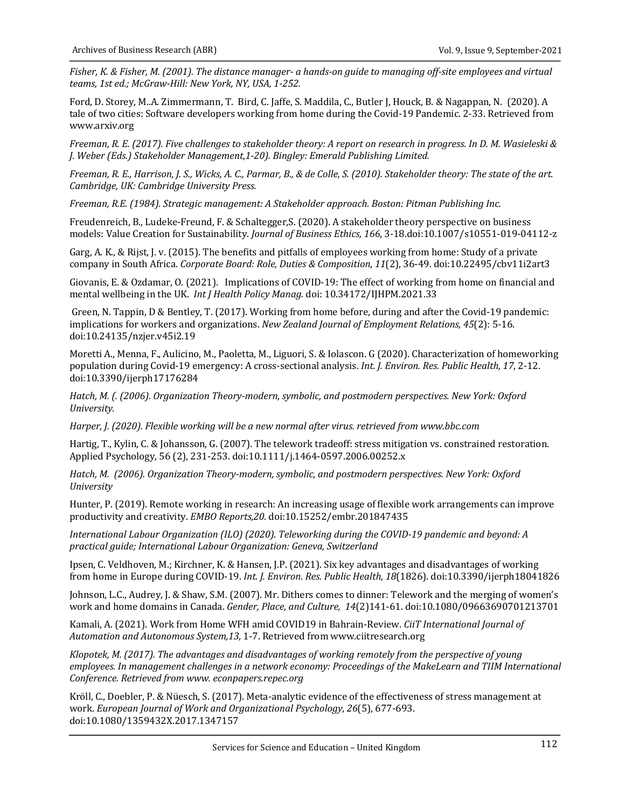*Fisher, K. & Fisher, M. (2001). The distance manager-ahands-on guide to managing off-site employees and virtual* teams, 1st ed.; McGraw-Hill: New York, NY, USA, 1-252.

Ford, D. Storey, M..A. Zimmermann, T. Bird, C. Jaffe, S. Maddila, C., Butler J, Houck, B. & Nagappan, N. (2020). A tale of two cities: Software developers working from home during the Covid-19 Pandemic. 2-33. Retrieved from www.arxiv.org

*Freeman, R. E. (2017). Five challenges to stakeholder theory: A report on research in progress. In D. M. Wasieleski & J. Weber (Eds.) Stakeholder Management,1-20). Bingley: Emerald Publishing Limited.*

*Freeman, R. E., Harrison, J. S., Wicks, A. C., Parmar, B., & de Colle, S. (2010). Stakeholder theory: The state of the art. Cambridge, UK: Cambridge University Press.* 

*Freeman, R.E. (1984). Strategic management: A Stakeholder approach. Boston: Pitman Publishing Inc.* 

Freudenreich, B., Ludeke-Freund, F. & Schaltegger, S. (2020). A stakeholder theory perspective on business models: Value Creation for Sustainability. *Journal of Business Ethics, 166*, 3-18.doi:10.1007/s10551-019-04112-z

Garg, A. K., & Rijst, J. v. (2015). The benefits and pitfalls of employees working from home: Study of a private company in South Africa. Corporate Board: Role, Duties & Composition, 11(2), 36-49. doi:10.22495/cbv11i2art3

Giovanis, E. & Ozdamar, O. (2021). Implications of COVID-19: The effect of working from home on financial and mental wellbeing in the UK. *Int J Health Policy Manag.* doi: 10.34172/IJHPM.2021.33

Green, N. Tappin, D & Bentley, T. (2017). Working from home before, during and after the Covid-19 pandemic: implications for workers and organizations. *New Zealand Journal of Employment Relations, 45*(2): 5-16. doi:10.24135/nzjer.v45i2.19

Moretti A., Menna, F., Aulicino, M., Paoletta, M., Liguori, S. & Iolascon. G (2020). Characterization of homeworking population during Covid-19 emergency: A cross-sectional analysis. *Int. J. Environ. Res. Public Health, 17, 2-12.* doi:10.3390/ijerph17176284

*Hatch, M. (. (2006).* Organization Theory-modern, symbolic, and postmodern perspectives. New York: Oxford *University.*

*Harper, J. (2020).* Flexible working will be a new normal after virus. retrieved from www.bbc.com

Hartig, T., Kylin, C. & Johansson, G. (2007). The telework tradeoff: stress mitigation vs. constrained restoration. Applied Psychology, 56 (2), 231-253. doi:10.1111/j.1464-0597.2006.00252.x

Hatch, M. (2006). Organization Theory-modern, symbolic, and postmodern perspectives. New York: Oxford *University*

Hunter, P. (2019). Remote working in research: An increasing usage of flexible work arrangements can improve productivity and creativity. *EMBO Reports,20.* doi:10.15252/embr.201847435

*International Labour Organization (ILO)* (2020). Teleworking during the COVID-19 pandemic and beyond: A *practical guide; International Labour Organization: Geneva, Switzerland*

Ipsen, C. Veldhoven, M.; Kirchner, K. & Hansen, J.P. (2021). Six key advantages and disadvantages of working from home in Europe during COVID-19. Int. J. Environ. Res. Public Health, 18(1826). doi:10.3390/ijerph18041826

Johnson, L.C., Audrey, J. & Shaw, S.M. (2007). Mr. Dithers comes to dinner: Telework and the merging of women's work and home domains in Canada. *Gender, Place, and Culture, 14*(2)141-61. doi:10.1080/09663690701213701

Kamali, A. (2021). Work from Home WFH amid COVID19 in Bahrain-Review. *CiiT International Journal of* Automation and Autonomous System, 13, 1-7. Retrieved from www.ciitresearch.org

Klopotek, M. (2017). The advantages and disadvantages of working remotely from the perspective of young employees. In management challenges in a network economy: Proceedings of the MakeLearn and TIIM International *Conference. Retrieved from www. econpapers.repec.org*

Kröll, C., Doebler, P. & Nüesch, S. (2017). Meta-analytic evidence of the effectiveness of stress management at work. *European Journal of Work and Organizational Psychology, 26*(5), 677-693. doi:10.1080/1359432X.2017.1347157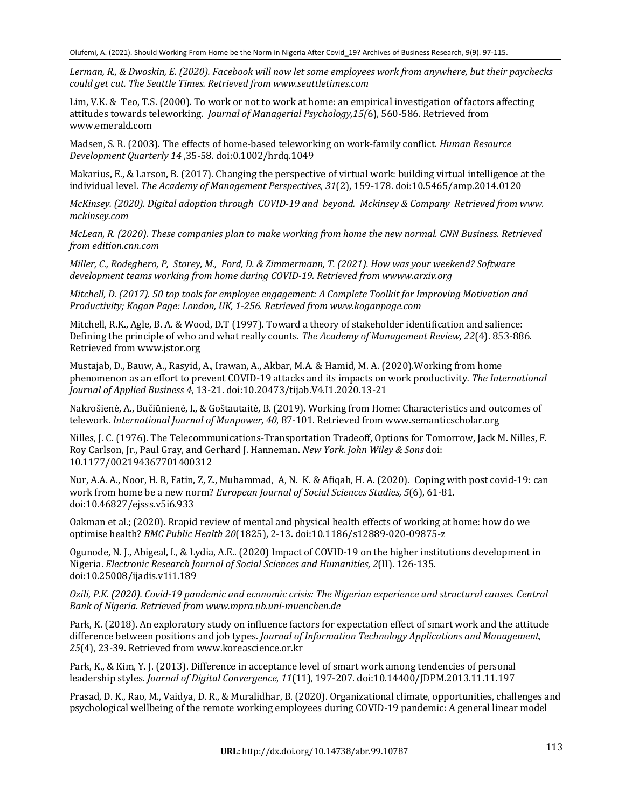Lerman, R., & Dwoskin, E. (2020). Facebook will now let some employees work from anywhere, but their paychecks *could get cut. The Seattle Times. Retrieved from www.seattletimes.com*

Lim, V.K. & Teo, T.S. (2000). To work or not to work at home: an empirical investigation of factors affecting attitudes towards teleworking. *Journal of Managerial Psychology,15(*6), 560-586. Retrieved from www.emerald.com

Madsen, S. R. (2003). The effects of home-based teleworking on work-family conflict. *Human Resource Development Quarterly 14* ,35-58. doi:0.1002/hrdq.1049

Makarius, E., & Larson, B. (2017). Changing the perspective of virtual work: building virtual intelligence at the individual level. The Academy of Management Perspectives, 31(2), 159-178. doi:10.5465/amp.2014.0120

*McKinsey.* (2020). Digital adoption through COVID-19 and beyond. Mckinsey & Company Retrieved from www. *mckinsey.com*

*McLean, R. (2020).* These companies plan to make working from home the new normal. CNN Business. Retrieved *from edition.cnn.com*

*Miller, C., Rodeghero, P. Storey, M., Ford, D. & Zimmermann, T. (2021). How was your weekend? Software* development teams working from home during COVID-19. Retrieved from wwww.arxiv.org

*Mitchell, D. (2017).* 50 top tools for employee engagement: A Complete Toolkit for Improving Motivation and *Productivity; Kogan Page: London, UK, 1-256. Retrieved from www.koganpage.com*

Mitchell, R.K., Agle, B. A. & Wood, D.T (1997). Toward a theory of stakeholder identification and salience: Defining the principle of who and what really counts. *The Academy of Management Review, 22(4)*. 853-886. Retrieved from www.jstor.org

Mustajab, D., Bauw, A., Rasyid, A., Irawan, A., Akbar, M.A. & Hamid, M. A. (2020). Working from home phenomenon as an effort to prevent COVID-19 attacks and its impacts on work productivity. The International *Journal of Applied Business 4*, 13-21. doi:10.20473/tijab.V4.I1.2020.13-21

Nakrošienė, A., Bučiūnienė, I., & Goštautaitė, B. (2019). Working from Home: Characteristics and outcomes of telework. *International Journal of Manpower, 40*, 87-101. Retrieved from www.semanticscholar.org

Nilles, J. C. (1976). The Telecommunications-Transportation Tradeoff, Options for Tomorrow, Jack M. Nilles, F. Roy Carlson, Jr., Paul Gray, and Gerhard J. Hanneman. *New York. John Wiley & Sons* doi: 10.1177/002194367701400312

Nur, A.A. A., Noor, H. R, Fatin, Z, Z., Muhammad, A, N. K. & Afiqah, H. A. (2020). Coping with post covid-19: can work from home be a new norm? *European Journal of Social Sciences Studies,* 5(6), 61-81. doi:10.46827/ejsss.v5i6.933 

Oakman et al.; (2020). Rrapid review of mental and physical health effects of working at home: how do we optimise health? *BMC Public Health 20*(1825), 2-13. doi:10.1186/s12889-020-09875-z

Ogunode, N. J., Abigeal, I., & Lydia, A.E.. (2020) Impact of COVID-19 on the higher institutions development in Nigeria. *Electronic Research Journal of Social Sciences and Humanities, 2*(II). 126-135. doi:10.25008/ijadis.v1i1.189

*Ozili, P.K. (2020). Covid-19 pandemic and economic crisis: The Nigerian experience and structural causes. Central Bank of Nigeria. Retrieved from www.mpra.ub.uni-muenchen.de*

Park, K. (2018). An exploratory study on influence factors for expectation effect of smart work and the attitude difference between positions and job types. *Journal of Information Technology Applications and Management*, 25(4), 23-39. Retrieved from www.koreascience.or.kr

Park, K., & Kim, Y. J. (2013). Difference in acceptance level of smart work among tendencies of personal leadership styles. *Journal of Digital Convergence*, *11*(11), 197-207. doi:10.14400/JDPM.2013.11.11.197

Prasad, D. K., Rao, M., Vaidya, D. R., & Muralidhar, B. (2020). Organizational climate, opportunities, challenges and psychological wellbeing of the remote working employees during COVID-19 pandemic: A general linear model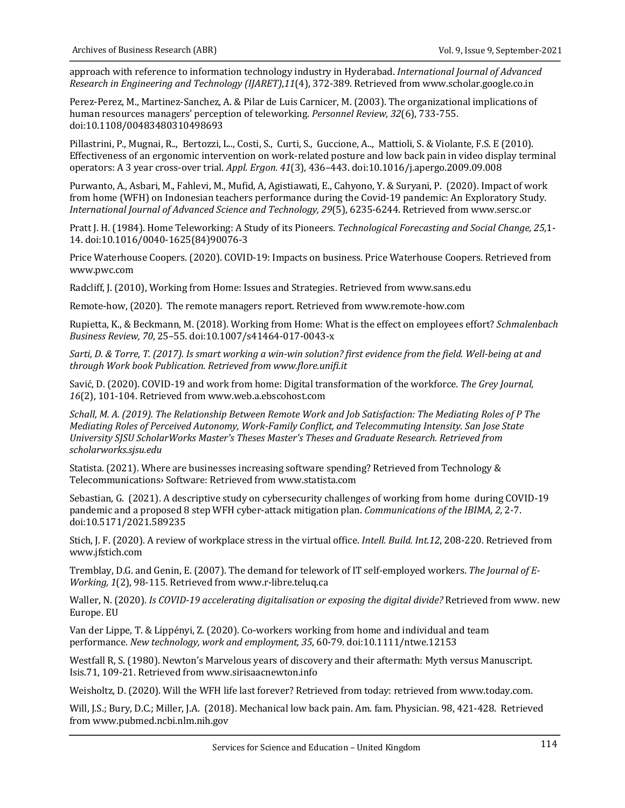approach with reference to information technology industry in Hyderabad. *International Journal of Advanced Research in Engineering and Technology (IJARET),11(4), 372-389. Retrieved from www.scholar.google.co.in* 

Perez-Perez, M., Martinez-Sanchez, A. & Pilar de Luis Carnicer, M. (2003). The organizational implications of human resources managers' perception of teleworking. *Personnel Review, 32(6), 733-755.* doi:10.1108/00483480310498693

Pillastrini, P., Mugnai, R.., Bertozzi, L.., Costi, S., Curti, S., Guccione, A.., Mattioli, S. & Violante, F.S. E (2010). Effectiveness of an ergonomic intervention on work-related posture and low back pain in video display terminal operators: A 3 year cross-over trial. Appl. Ergon. 41(3), 436-443. doi:10.1016/j.apergo.2009.09.008

Purwanto, A., Asbari, M., Fahlevi, M., Mufid, A. Agistiawati, E., Cahyono, Y. & Suryani, P. (2020). Impact of work from home (WFH) on Indonesian teachers performance during the Covid-19 pandemic: An Exploratory Study. *International Journal of Advanced Science and Technology, 29*(5), 6235-6244. Retrieved from www.sersc.or

Pratt J. H. (1984). Home Teleworking: A Study of its Pioneers. *Technological Forecasting and Social Change, 25*,1-14. doi:10.1016/0040-1625(84)90076-3

Price Waterhouse Coopers. (2020). COVID-19: Impacts on business. Price Waterhouse Coopers. Retrieved from www.pwc.com

Radcliff, J. (2010), Working from Home: Issues and Strategies. Retrieved from www.sans.edu

Remote-how, (2020). The remote managers report. Retrieved from www.remote-how.com

Rupietta, K., & Beckmann, M. (2018). Working from Home: What is the effect on employees effort? *Schmalenbach Business Review, 70*, 25–55. doi:10.1007/s41464-017-0043-x

Sarti, D. & Torre, T. (2017). Is smart working a win-win solution? first evidence from the field. Well-being at and *through Work book Publication. Retrieved from www.flore.unifi.it*

Savić, D. (2020). COVID-19 and work from home: Digital transformation of the workforce. *The Grey Journal*, 16(2), 101-104. Retrieved from www.web.a.ebscohost.com

*Schall, M. A. (2019).* The Relationship Between Remote Work and Job Satisfaction: The Mediating Roles of P The *Mediating Roles of Perceived Autonomy, Work-Family Conflict, and Telecommuting Intensity. San Jose State* University SJSU ScholarWorks Master's Theses Master's Theses and Graduate Research. Retrieved from *scholarworks.sjsu.edu*

Statista. (2021). Where are businesses increasing software spending? Retrieved from Technology & Telecommunications› Software: Retrieved from www.statista.com

Sebastian, G. (2021). A descriptive study on cybersecurity challenges of working from home during COVID-19 pandemic and a proposed 8 step WFH cyber-attack mitigation plan. *Communications of the IBIMA, 2, 2-7.* doi:10.5171/2021.589235

Stich, J. F. (2020). A review of workplace stress in the virtual office. *Intell. Build. Int.12*, 208-220. Retrieved from www.jfstich.com

Tremblay, D.G. and Genin, E. (2007). The demand for telework of IT self-employed workers. The *Journal of E-Working, 1*(2), 98-115. Retrieved from www.r-libre.teluq.ca

Waller, N. (2020). *Is COVID-19 accelerating digitalisation or exposing the digital divide?* Retrieved from www. new Europe. EU

Van der Lippe, T. & Lippényi, Z. (2020). Co-workers working from home and individual and team performance. *New technology, work and employment, 35*, 60-79. doi:10.1111/ntwe.12153

Westfall R, S. (1980). Newton's Marvelous years of discovery and their aftermath: Myth versus Manuscript. Isis.71, 109-21. Retrieved from www.sirisaacnewton.info

Weisholtz, D. (2020). Will the WFH life last forever? Retrieved from today: retrieved from www.today.com.

Will, J.S.; Bury, D.C.; Miller, J.A. (2018). Mechanical low back pain. Am. fam. Physician. 98, 421-428. Retrieved from www.pubmed.ncbi.nlm.nih.gov